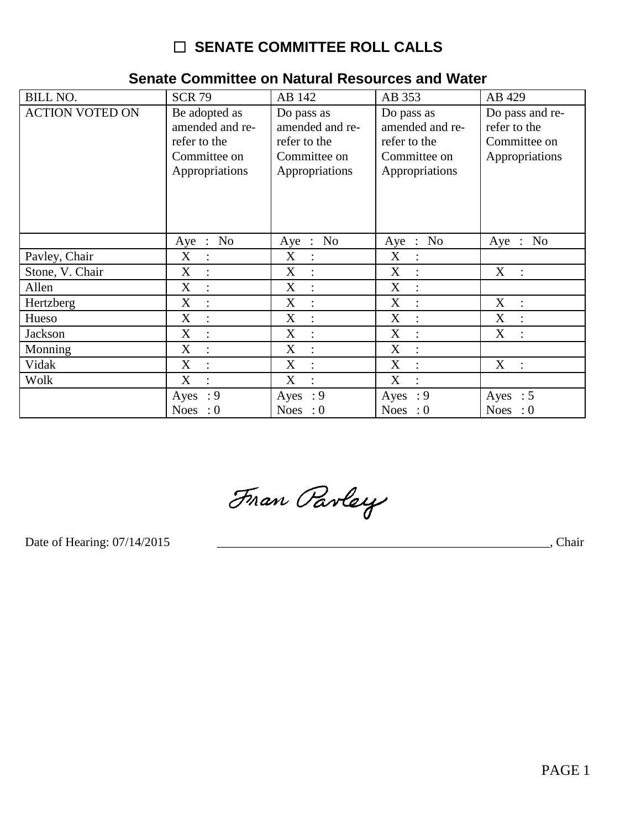# □ SENATE COMMITTEE ROLL CALLS

| <b>BILL NO.</b>        | <b>SCR 79</b>                                                                      | AB 142                                                                          | AB 353                                                                          | AB 429                                                            |
|------------------------|------------------------------------------------------------------------------------|---------------------------------------------------------------------------------|---------------------------------------------------------------------------------|-------------------------------------------------------------------|
| <b>ACTION VOTED ON</b> | Be adopted as<br>amended and re-<br>refer to the<br>Committee on<br>Appropriations | Do pass as<br>amended and re-<br>refer to the<br>Committee on<br>Appropriations | Do pass as<br>amended and re-<br>refer to the<br>Committee on<br>Appropriations | Do pass and re-<br>refer to the<br>Committee on<br>Appropriations |
|                        | Aye : No                                                                           | Aye : No                                                                        | Aye : No                                                                        | Aye : No                                                          |
| Pavley, Chair          | X<br>$\ddot{\cdot}$                                                                | X<br>$\therefore$                                                               | X<br>$\therefore$                                                               |                                                                   |
| Stone, V. Chair        | X<br>$\ddot{\cdot}$                                                                | X<br>$\ddot{\cdot}$                                                             | $\boldsymbol{\mathrm{X}}$<br>$\vdots$                                           | X<br>$\mathbf{r}$                                                 |
| Allen                  | X<br>$\ddot{\cdot}$                                                                | X<br>$\ddot{\cdot}$                                                             | X<br>$\ddot{\cdot}$                                                             |                                                                   |
| Hertzberg              | X                                                                                  | X<br>$\ddot{\cdot}$                                                             | X<br>$\ddot{\cdot}$                                                             | X<br>$\therefore$                                                 |
| Hueso                  | X<br>$\ddot{\cdot}$                                                                | $\boldsymbol{\mathrm{X}}$<br>$\ddot{\cdot}$                                     | X<br>$\ddot{\cdot}$                                                             | X<br>$\ddot{\cdot}$                                               |
| Jackson                | X<br>$\ddot{\cdot}$                                                                | X<br>$\ddot{\cdot}$                                                             | X<br>$\ddot{\cdot}$                                                             | X<br>$\ddot{\cdot}$                                               |
| Monning                | X<br>$\ddot{\cdot}$                                                                | X<br>$\ddot{\cdot}$                                                             | $\mathbf X$<br>$\ddot{\cdot}$                                                   |                                                                   |
| Vidak                  | X                                                                                  | X<br>$\ddot{\cdot}$                                                             | X<br>$\ddot{\cdot}$                                                             | X :                                                               |
| Wolk                   | X<br>$\bullet$                                                                     | X<br>$\bullet$                                                                  | $\mathbf X$<br>$\bullet$                                                        |                                                                   |
|                        | : 9<br>Ayes                                                                        | : 9<br>Ayes                                                                     | Ayes : $9$                                                                      | Ayes : $5$                                                        |
|                        | Noes : $0$                                                                         | Noes : $0$                                                                      | Noes : $0$                                                                      | Noes : $0$                                                        |

## Senate Committee on Natural Resources and Water

Fran Parley

Date of Hearing: 07/14/2015

 $\overline{\phantom{a}}$ , Chair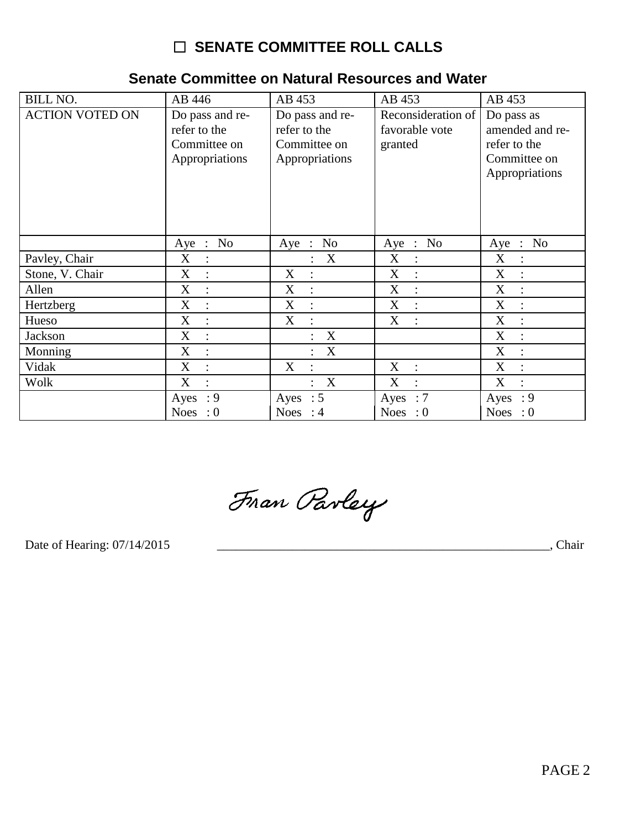# **O SENATE COMMITTEE ROLL CALLS**

| <b>BILL NO.</b>        | AB 446                                                            | AB 453                                                            | AB 453                                          | AB 453                                                                          |
|------------------------|-------------------------------------------------------------------|-------------------------------------------------------------------|-------------------------------------------------|---------------------------------------------------------------------------------|
| <b>ACTION VOTED ON</b> | Do pass and re-<br>refer to the<br>Committee on<br>Appropriations | Do pass and re-<br>refer to the<br>Committee on<br>Appropriations | Reconsideration of<br>favorable vote<br>granted | Do pass as<br>amended and re-<br>refer to the<br>Committee on<br>Appropriations |
|                        | No<br>$Aye$ :                                                     | No<br>$Aye$ :                                                     | No<br>Aye<br>$\sim 10^7$                        | N <sub>o</sub><br>Aye<br>$\therefore$                                           |
| Pavley, Chair          | X<br>$\ddot{\cdot}$                                               | X<br>$\ddot{\cdot}$                                               | X<br>$\ddot{\cdot}$                             | X<br>$\ddot{\cdot}$                                                             |
| Stone, V. Chair        | X<br>$\ddot{\cdot}$                                               | X<br>$\ddot{\cdot}$                                               | X<br>$\ddot{\cdot}$                             | X<br>$\ddot{\cdot}$                                                             |
| Allen                  | X<br>$\ddot{\cdot}$                                               | $\boldsymbol{\mathrm{X}}$<br>$\ddot{\cdot}$                       | $\boldsymbol{\mathrm{X}}$<br>$\ddot{\cdot}$     | $\boldsymbol{\mathrm{X}}$<br>$\ddot{\cdot}$                                     |
| Hertzberg              | X                                                                 | $\boldsymbol{\mathrm{X}}$                                         | X<br>$\ddot{\cdot}$                             | X                                                                               |
| Hueso                  | X<br>÷                                                            | X<br>$\ddot{\cdot}$                                               | X<br>÷                                          | X<br>$\ddot{\cdot}$                                                             |
| Jackson                | X<br>$\ddot{\cdot}$                                               | X                                                                 |                                                 | X<br>$\ddot{\cdot}$                                                             |
| Monning                | X<br>$\ddot{\cdot}$                                               | X                                                                 |                                                 | $\boldsymbol{X}$<br>$\ddot{\cdot}$                                              |
| Vidak                  | X                                                                 | X                                                                 | X<br>$\ddot{\cdot}$                             | X                                                                               |
| Wolk                   | X<br>$\ddot{\cdot}$                                               | X                                                                 | X<br>$\ddot{\cdot}$                             | X<br>$\ddot{\cdot}$                                                             |
|                        | : 9<br>Ayes                                                       | Ayes : $5$                                                        | $\therefore 7$<br>Ayes                          | $\cdot$ 9<br>Ayes                                                               |
|                        | Noes : $0$                                                        | Noes : $4$                                                        | Noes : $0$                                      | Noes : $0$                                                                      |

## Senate Committee on Natural Resources and Water

Fran Parley

Date of Hearing: 07/14/2015

**Example 2018**, Chair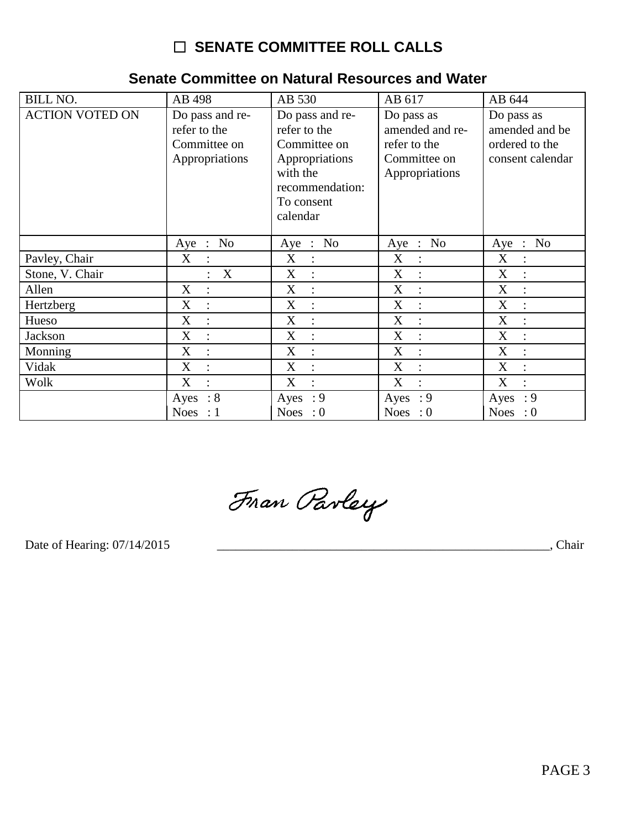# **O SENATE COMMITTEE ROLL CALLS**

| <b>BILL NO.</b>        | AB 498                                                            | AB 530                                                                                                                     | AB 617                                                                          | AB 644                                                             |
|------------------------|-------------------------------------------------------------------|----------------------------------------------------------------------------------------------------------------------------|---------------------------------------------------------------------------------|--------------------------------------------------------------------|
| <b>ACTION VOTED ON</b> | Do pass and re-<br>refer to the<br>Committee on<br>Appropriations | Do pass and re-<br>refer to the<br>Committee on<br>Appropriations<br>with the<br>recommendation:<br>To consent<br>calendar | Do pass as<br>amended and re-<br>refer to the<br>Committee on<br>Appropriations | Do pass as<br>amended and be<br>ordered to the<br>consent calendar |
|                        | N <sub>0</sub><br>$Aye$ :                                         | Aye : No                                                                                                                   | N <sub>0</sub><br>Aye<br>$\ddot{\phantom{1}}$ :                                 | No<br>Aye<br>$\mathbb{R}$                                          |
| Pavley, Chair          | X<br>$\cdot$ :                                                    | X<br>$\cdot$ :                                                                                                             | X<br>$\cdot$ :                                                                  | X<br>$\cdot$ :                                                     |
| Stone, V. Chair        | X                                                                 | X                                                                                                                          | X                                                                               | X                                                                  |
| Allen                  | $\boldsymbol{X}$                                                  | X                                                                                                                          | X                                                                               | X                                                                  |
| Hertzberg              | X                                                                 | X                                                                                                                          | X                                                                               | X                                                                  |
| Hueso                  | X<br>$\ddot{\cdot}$                                               | X<br>$\cdot$                                                                                                               | X<br>$\ddot{\cdot}$                                                             | X                                                                  |
| Jackson                | X                                                                 | X                                                                                                                          | X                                                                               | X                                                                  |
| Monning                | X<br>$\ddot{\cdot}$                                               | X                                                                                                                          | X                                                                               | X                                                                  |
| Vidak                  | X                                                                 | X                                                                                                                          | X                                                                               | X                                                                  |
| Wolk                   | X<br>$\ddot{\phantom{a}}$                                         | X<br>$\cdot$                                                                                                               | X<br>$\ddot{\cdot}$                                                             | X                                                                  |
|                        | $\therefore 8$<br>Ayes                                            | : 9<br>Ayes                                                                                                                | : 9<br>Ayes                                                                     | : 9<br>Ayes                                                        |
|                        | Noes : $1$                                                        | Noes : $0$                                                                                                                 | Noes : $0$                                                                      | Noes : $0$                                                         |

## Senate Committee on Natural Resources and Water

Fran Parley

Date of Hearing: 07/14/2015

**Chair**, Chair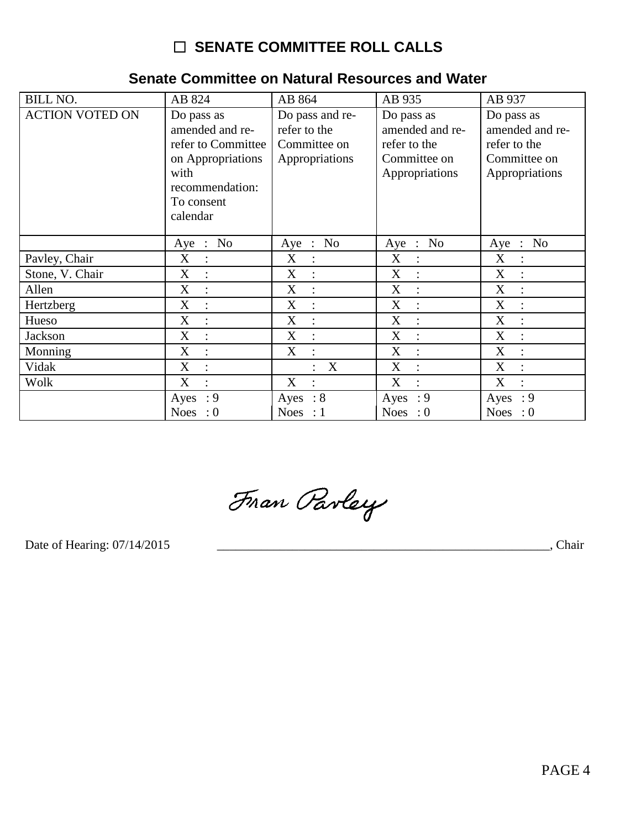# $\Box$  SENATE COMMITTEE ROLL CALLS

### BILL NO. AB 824 AB 864 AB 935 AB 937 **ACTION VOTED ON** Do pass as Do pass and re-Do pass as Do pass as amended and rerefer to the amended and reamended and re-Committee on refer to the refer to Committee refer to the on Appropriations Appropriations Committee on Committee on with Appropriations Appropriations recommendation: To consent calendar Aye  $\overline{\cdot}$  No Aye  $\overline{\cdot}$  No Aye : No Aye :  $No$ Pavley, Chair  $X$  $X_{\mathcal{I}}$  $X$  $\therefore$  $X$  $\therefore$  $\mathbb{R}^2$  $\pm$  $\overline{X}$  :  $\overline{X}$ : Stone, V. Chair  $X$  :  $X$  : Allen  $X :$  $\mathbf{X}$  $\overline{X}$  $\mathbf{X}$  $\mathcal{L}$  $\pm$  $\mathbb{R}^n$  $\overline{X}$  $\overline{X}$  $\overline{X}$ Hertzberg  $\div$  $X$  $\pm$  $\pm$  $\langle \pm \rangle$  $X$  $X$  $X$  $X$ Hueso  $\mathbb{C}^2$  $\mathbb{C}^{\mathbb{Z}}$  $\langle \cdot \rangle$  $\therefore$  $\overline{X}$ :  $\overline{X}$ :  $X$  $X$ Jackson  $\langle \cdot, \cdot \rangle$  $\sim 10$  $\overline{X}$  :  $\overline{X}$  : Monning  $X$  :  $\mathbf{X}$  $\sim$   $\sim$  $\overline{X}$  :  $\overline{X}$  :  $\overline{X}$  : Vidak  $\therefore$  X Wolk  $\overline{X}$  $\overline{X}$  $\overline{X}$  $\overline{X}$  $\sim 10^7$  $\mathbb{R}^2$  $\div$  $\sim 10$ Ayes :  $9$ Ayes :  $8$ Ayes :  $9$ Ayes :  $9$ Noes :  $0$ Noes :  $1$ Noes :  $0$ Noes :  $0$

### Senate Committee on Natural Resources and Water

Fran Parley

Date of Hearing: 07/14/2015

Chair Chair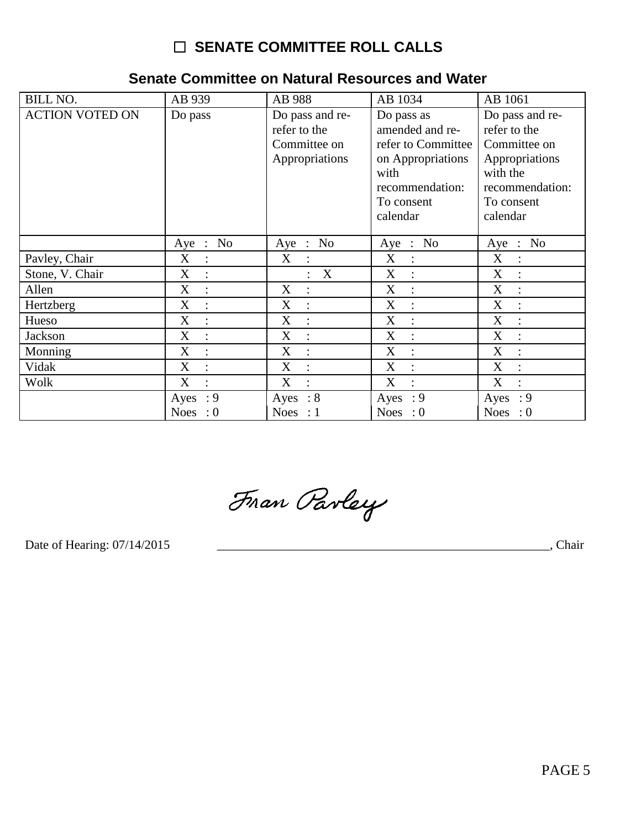# **O SENATE COMMITTEE ROLL CALLS**

## Senate Committee on Natural Resources and Water

| <b>BILL NO.</b>        | AB 939              | AB 988                                                            | AB 1034                                                                                                                       | AB 1061                                                                                                                    |
|------------------------|---------------------|-------------------------------------------------------------------|-------------------------------------------------------------------------------------------------------------------------------|----------------------------------------------------------------------------------------------------------------------------|
| <b>ACTION VOTED ON</b> | Do pass             | Do pass and re-<br>refer to the<br>Committee on<br>Appropriations | Do pass as<br>amended and re-<br>refer to Committee<br>on Appropriations<br>with<br>recommendation:<br>To consent<br>calendar | Do pass and re-<br>refer to the<br>Committee on<br>Appropriations<br>with the<br>recommendation:<br>To consent<br>calendar |
|                        | Aye : No            | Aye : No                                                          | Aye : No                                                                                                                      | Aye : No                                                                                                                   |
| Pavley, Chair          | X<br>$\ddot{\cdot}$ | X                                                                 | X<br>$\sim$ 1 $^{\circ}$                                                                                                      | X<br>$\ddot{\cdot}$                                                                                                        |
| Stone, V. Chair        | X<br>$\therefore$   | X                                                                 | X<br>$\ddot{\cdot}$                                                                                                           | X<br>$\ddot{\cdot}$                                                                                                        |
| Allen                  | X                   | X<br>$\ddot{\cdot}$                                               | X<br>$\ddot{\cdot}$                                                                                                           | X                                                                                                                          |
| Hertzberg              | X<br>$\cdot$ :      | X<br>$\ddot{\cdot}$                                               | X<br>$\cdot$ :                                                                                                                | X<br>$\ddot{\cdot}$                                                                                                        |
| Hueso                  | X                   | X<br>$\ddot{\cdot}$                                               | X<br>$\vdots$                                                                                                                 | X                                                                                                                          |
| Jackson                | X                   | X<br>$\ddot{\cdot}$                                               | X<br>$\ddot{\cdot}$                                                                                                           | X                                                                                                                          |
| Monning                | X                   | X<br>$\ddot{\cdot}$                                               | X                                                                                                                             | X                                                                                                                          |
| Vidak                  | X<br>$\ddot{\cdot}$ | X<br>$\ddot{\cdot}$                                               | X<br>$\ddot{\cdot}$                                                                                                           | X<br>$\ddot{\phantom{a}}$                                                                                                  |
| Wolk                   | X<br>$\ddot{\cdot}$ | X<br>$\ddot{\cdot}$                                               | X<br>$\ddot{\cdot}$                                                                                                           | X<br>$\ddot{\phantom{a}}$                                                                                                  |
|                        | Ayes: 9             | Ayes : $8$                                                        | Ayes : $9$                                                                                                                    | Ayes : $9$                                                                                                                 |
|                        | Noes : $0$          | Noes : $1$                                                        | Noes : $0$                                                                                                                    | Noes : $0$                                                                                                                 |

Fran Parley

Date of Hearing: 07/14/2015

**Chair**, Chair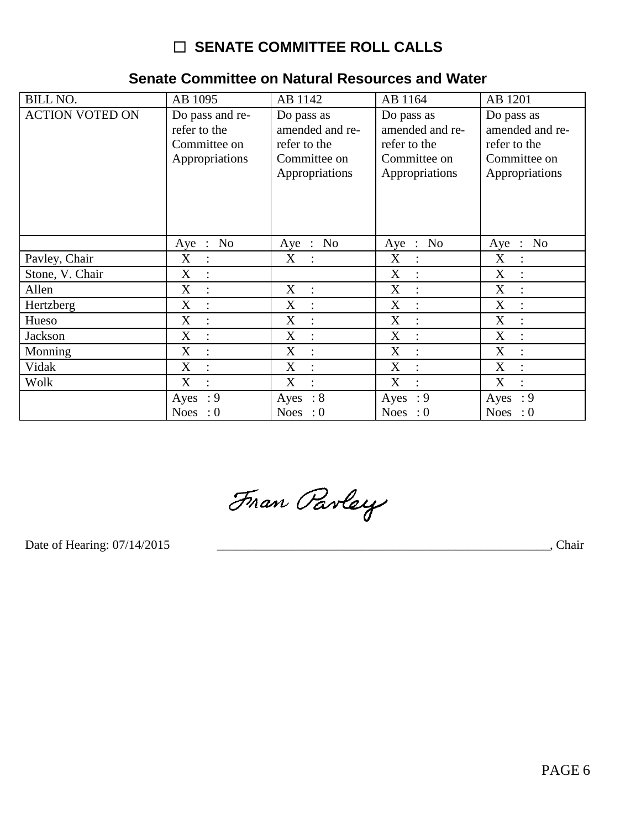# □ SENATE COMMITTEE ROLL CALLS

| <b>BILL NO.</b>        | AB 1095                                                           | AB 1142                                                                         | AB 1164                                                                         | AB 1201                                                                         |
|------------------------|-------------------------------------------------------------------|---------------------------------------------------------------------------------|---------------------------------------------------------------------------------|---------------------------------------------------------------------------------|
| <b>ACTION VOTED ON</b> | Do pass and re-<br>refer to the<br>Committee on<br>Appropriations | Do pass as<br>amended and re-<br>refer to the<br>Committee on<br>Appropriations | Do pass as<br>amended and re-<br>refer to the<br>Committee on<br>Appropriations | Do pass as<br>amended and re-<br>refer to the<br>Committee on<br>Appropriations |
|                        | Aye : No                                                          | Aye : No                                                                        | Aye : No                                                                        | Aye : No                                                                        |
| Pavley, Chair          | X<br>$\therefore$                                                 | $\mathbf X$<br>$\mathbb{R}^2$                                                   | X<br>$\therefore$                                                               | X<br>$\ddot{\cdot}$                                                             |
| Stone, V. Chair        | X<br>$\ddot{\cdot}$                                               |                                                                                 | $\boldsymbol{\mathrm{X}}$<br>$\ddot{\cdot}$                                     | X<br>$\ddot{\phantom{a}}$                                                       |
| Allen                  | X<br>$\ddot{\cdot}$                                               | X<br>$\ddot{\cdot}$                                                             | $\mathbf X$<br>$\ddot{\cdot}$                                                   | X<br>$\ddot{\cdot}$                                                             |
| Hertzberg              | X                                                                 | X<br>$\ddot{\cdot}$                                                             | $\boldsymbol{\mathrm{X}}$<br>$\vdots$                                           | X                                                                               |
| Hueso                  | X<br>$\ddot{\cdot}$                                               | X<br>$\ddot{\cdot}$                                                             | X<br>$\cdot$                                                                    | X<br>÷                                                                          |
| Jackson                | X                                                                 | X<br>$\ddot{\cdot}$                                                             | $\boldsymbol{\mathrm{X}}$<br>$\ddot{\cdot}$                                     | X<br>$\ddot{\cdot}$                                                             |
| Monning                | X<br>$\ddot{\cdot}$                                               | X<br>$\ddot{\cdot}$                                                             | $\boldsymbol{\mathrm{X}}$<br>$\ddot{\cdot}$                                     | X<br>$\ddot{\cdot}$                                                             |
| Vidak                  | X                                                                 | X                                                                               | $\boldsymbol{\mathrm{X}}$<br>$\ddot{\cdot}$                                     | X                                                                               |
| Wolk                   | X<br>$\ddot{\phantom{a}}$                                         | X<br>$\ddot{\cdot}$                                                             | X<br>$\ddot{\cdot}$                                                             | X<br>÷                                                                          |
|                        | : 9<br>Ayes                                                       | Ayes : $8$                                                                      | Ayes : $9$                                                                      | $\cdot$ 9<br>Ayes                                                               |
|                        | Noes : $0$                                                        | Noes : $0$                                                                      | Noes : $0$                                                                      | Noes : $0$                                                                      |

## Senate Committee on Natural Resources and Water

Fran Parley

Date of Hearing: 07/14/2015

Chair (Chair